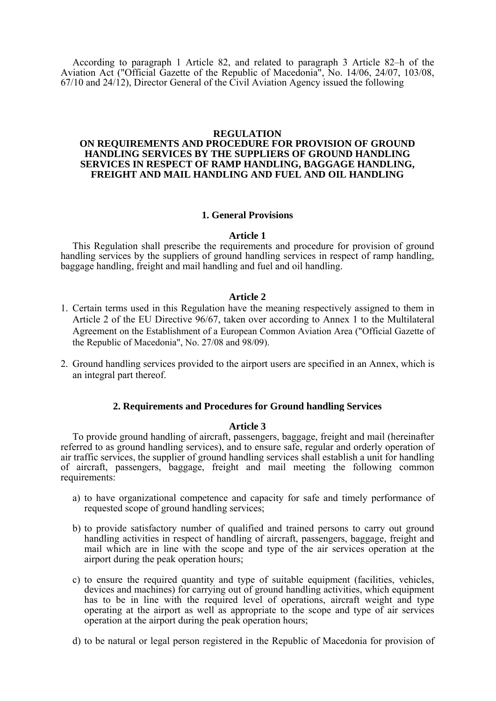According to paragraph 1 Article 82, and related to paragraph 3 Article 82–h of the Aviation Act ("Official Gazette of the Republic of Macedonia", No. 14/06, 24/07, 103/08, 67/10 and 24/12), Director General of the Civil Aviation Agency issued the following

## **REGULATION**

# **ON REQUIREMENTS AND PROCEDURE FOR PROVISION OF GROUND HANDLING SERVICES BY THE SUPPLIERS OF GROUND HANDLING SERVICES IN RESPECT OF RAMP HANDLING, BAGGAGE HANDLING, FREIGHT AND MAIL HANDLING AND FUEL AND OIL HANDLING**

### **1. General Provisions**

### **Article 1**

 This Regulation shall prescribe the requirements and procedure for provision of ground handling services by the suppliers of ground handling services in respect of ramp handling, baggage handling, freight and mail handling and fuel and oil handling.

## **Article 2**

- 1. Certain terms used in this Regulation have the meaning respectively assigned to them in Article 2 of the EU Directive 96/67, taken over according to Annex 1 to the Multilateral Agreement on the Establishment of a European Common Aviation Area ("Official Gazette of the Republic of Macedonia", No. 27/08 and 98/09).
- 2. Ground handling services provided to the airport users are specified in an Annex, which is an integral part thereof.

### **2. Requirements and Procedures for Ground handling Services**

### **Article 3**

To provide ground handling of aircraft, passengers, baggage, freight and mail (hereinafter referred to as ground handling services), and to ensure safe, regular and orderly operation of air traffic services, the supplier of ground handling services shall establish a unit for handling of aircraft, passengers, baggage, freight and mail meeting the following common requirements:

- a) to have organizational competence and capacity for safe and timely performance of requested scope of ground handling services;
- b) to provide satisfactory number of qualified and trained persons to carry out ground handling activities in respect of handling of aircraft, passengers, baggage, freight and mail which are in line with the scope and type of the air services operation at the airport during the peak operation hours;
- c) to ensure the required quantity and type of suitable equipment (facilities, vehicles, devices and machines) for carrying out of ground handling activities, which equipment has to be in line with the required level of operations, aircraft weight and type operating at the airport as well as appropriate to the scope and type of air services operation at the airport during the peak operation hours;
- d) to be natural or legal person registered in the Republic of Macedonia for provision of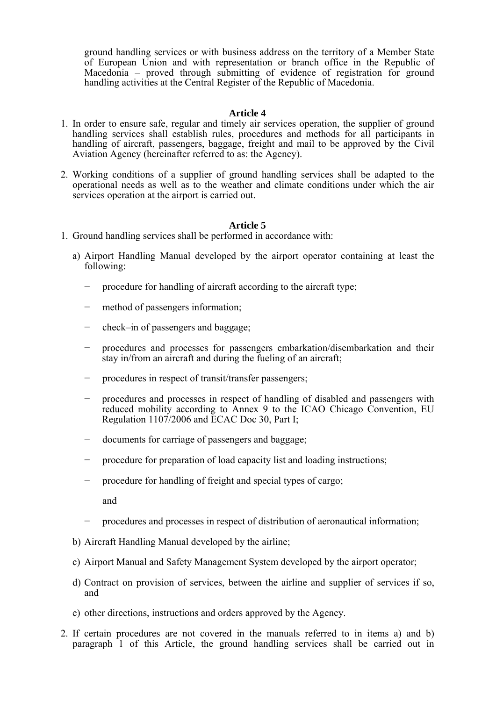ground handling services or with business address on the territory of a Member State of European Union and with representation or branch office in the Republic of Macedonia – proved through submitting of evidence of registration for ground handling activities at the Central Register of the Republic of Macedonia.

# **Article 4**

- 1. In order to ensure safe, regular and timely air services operation, the supplier of ground handling services shall establish rules, procedures and methods for all participants in handling of aircraft, passengers, baggage, freight and mail to be approved by the Civil Aviation Agency (hereinafter referred to as: the Agency).
- 2. Working conditions of a supplier of ground handling services shall be adapted to the operational needs as well as to the weather and climate conditions under which the air services operation at the airport is carried out.

# **Article 5**

- 1. Ground handling services shall be performed in accordance with:
	- a) Airport Handling Manual developed by the airport operator containing at least the following:
		- − procedure for handling of aircraft according to the aircraft type;
		- method of passengers information;
		- − check–in of passengers and baggage;
		- − procedures and processes for passengers embarkation/disembarkation and their stay in/from an aircraft and during the fueling of an aircraft;
		- − procedures in respect of transit/transfer passengers;
		- procedures and processes in respect of handling of disabled and passengers with reduced mobility according to Annex 9 to the ICAO Chicago Convention, EU Regulation 1107/2006 and ECAC Doc 30, Part I;
		- − documents for carriage of passengers and baggage;
		- − procedure for preparation of load capacity list and loading instructions;
		- − procedure for handling of freight and special types of cargo;

and

- − procedures and processes in respect of distribution of aeronautical information;
- b) Aircraft Handling Manual developed by the airline;
- c) Airport Manual and Safety Management System developed by the airport operator;
- d) Contract on provision of services, between the airline and supplier of services if so, and
- e) other directions, instructions and orders approved by the Agency.
- 2. If certain procedures are not covered in the manuals referred to in items a) and b) paragraph 1 of this Article, the ground handling services shall be carried out in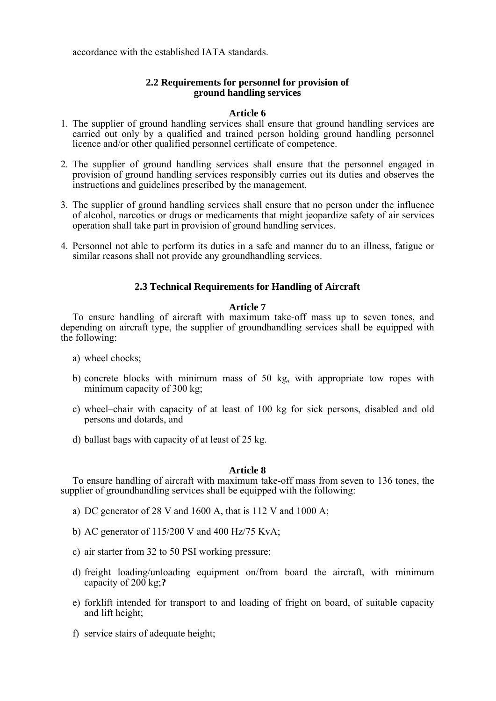accordance with the established IATA standards.

# **2.2 Requirements for personnel for provision of ground handling services**

# **Article 6**

- 1. The supplier of ground handling services shall ensure that ground handling services are carried out only by a qualified and trained person holding ground handling personnel licence and/or other qualified personnel certificate of competence.
- 2. The supplier of ground handling services shall ensure that the personnel engaged in provision of ground handling services responsibly carries out its duties and observes the instructions and guidelines prescribed by the management.
- 3. The supplier of ground handling services shall ensure that no person under the influence of alcohol, narcotics or drugs or medicaments that might jeopardize safety of air services operation shall take part in provision of ground handling services.
- 4. Personnel not able to perform its duties in a safe and manner du to an illness, fatigue or similar reasons shall not provide any groundhandling services.

# **2.3 Technical Requirements for Handling of Aircraft**

# **Article 7**

 To ensure handling of aircraft with maximum take-off mass up to seven tones, and depending on aircraft type, the supplier of groundhandling services shall be equipped with the following:

- a) wheel chocks;
- b) concrete blocks with minimum mass of 50 kg, with appropriate tow ropes with minimum capacity of 300 kg;
- c) wheel–chair with capacity of at least of 100 kg for sick persons, disabled and old persons and dotards, and
- d) ballast bags with capacity of at least of 25 kg.

## **Article 8**

 To ensure handling of aircraft with maximum take-off mass from seven to 136 tones, the supplier of groundhandling services shall be equipped with the following:

- a) DC generator of 28 V and 1600 A, that is 112 V and 1000 A;
- b) AC generator of 115/200 V and 400 Hz/75 KvA;
- c) air starter from 32 to 50 PSI working pressure;
- d) freight loading/unloading equipment on/from board the aircraft, with minimum capacity of 200 kg;**?**
- e) forklift intended for transport to and loading of fright on board, of suitable capacity and lift height;
- f) service stairs of adequate height;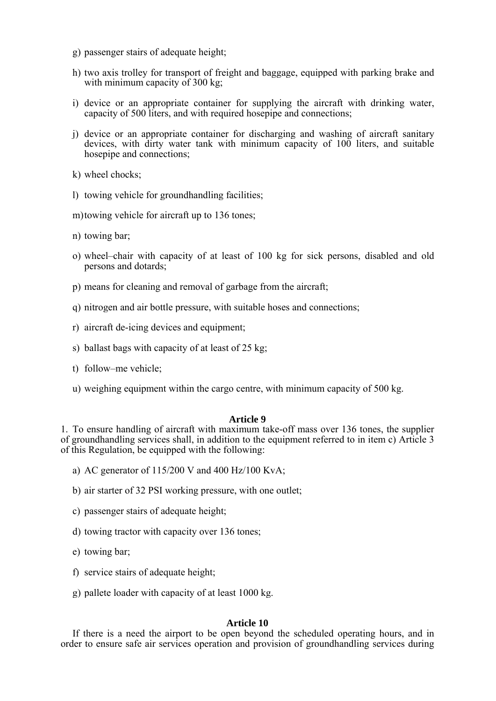- g) passenger stairs of adequate height;
- h) two axis trolley for transport of freight and baggage, equipped with parking brake and with minimum capacity of 300 kg;
- i) device or an appropriate container for supplying the aircraft with drinking water, capacity of 500 liters, and with required hosepipe and connections;
- j) device or an appropriate container for discharging and washing of aircraft sanitary devices, with dirty water tank with minimum capacity of 100 liters, and suitable hosepipe and connections;
- k) wheel chocks;
- l) towing vehicle for groundhandling facilities;
- m) towing vehicle for aircraft up to 136 tones;
- n) towing bar;
- o) wheel–chair with capacity of at least of 100 kg for sick persons, disabled and old persons and dotards;
- p) means for cleaning and removal of garbage from the aircraft;
- q) nitrogen and air bottle pressure, with suitable hoses and connections;
- r) aircraft de-icing devices and equipment;
- s) ballast bags with capacity of at least of 25 kg;
- t) follow–me vehicle;
- u) weighing equipment within the cargo centre, with minimum capacity of 500 kg.

## **Article 9**

1. To ensure handling of aircraft with maximum take-off mass over 136 tones, the supplier of groundhandling services shall, in addition to the equipment referred to in item c) Article 3 of this Regulation, be equipped with the following:

- a) AC generator of  $115/200$  V and  $400$  Hz/100 KvA;
- b) air starter of 32 PSI working pressure, with one outlet;
- c) passenger stairs of adequate height;
- d) towing tractor with capacity over 136 tones;
- e) towing bar;
- f) service stairs of adequate height;
- g) pallete loader with capacity of at least 1000 kg.

## **Article 10**

 If there is a need the airport to be open beyond the scheduled operating hours, and in order to ensure safe air services operation and provision of groundhandling services during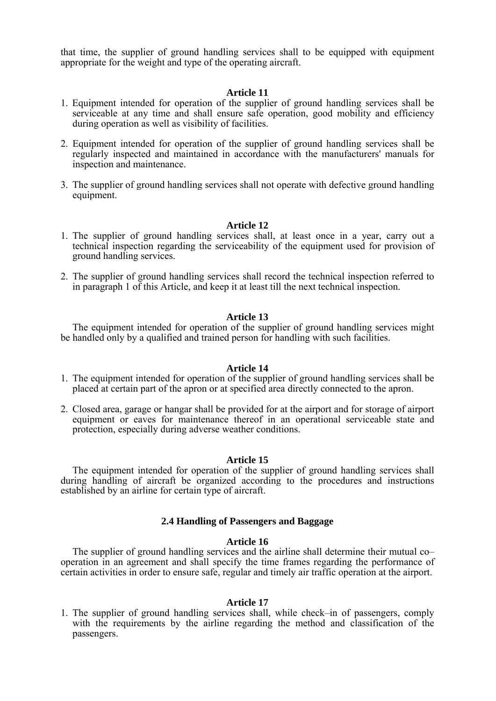that time, the supplier of ground handling services shall to be equipped with equipment appropriate for the weight and type of the operating aircraft.

### **Article 11**

- 1. Equipment intended for operation of the supplier of ground handling services shall be serviceable at any time and shall ensure safe operation, good mobility and efficiency during operation as well as visibility of facilities.
- 2. Equipment intended for operation of the supplier of ground handling services shall be regularly inspected and maintained in accordance with the manufacturers' manuals for inspection and maintenance.
- 3. The supplier of ground handling services shall not operate with defective ground handling equipment.

## **Article 12**

- 1. The supplier of ground handling services shall, at least once in a year, carry out a technical inspection regarding the serviceability of the equipment used for provision of ground handling services.
- 2. The supplier of ground handling services shall record the technical inspection referred to in paragraph 1 of this Article, and keep it at least till the next technical inspection.

### **Article 13**

 The equipment intended for operation of the supplier of ground handling services might be handled only by a qualified and trained person for handling with such facilities.

## **Article 14**

- 1. The equipment intended for operation of the supplier of ground handling services shall be placed at certain part of the apron or at specified area directly connected to the apron.
- 2. Closed area, garage or hangar shall be provided for at the airport and for storage of airport equipment or eaves for maintenance thereof in an operational serviceable state and protection, especially during adverse weather conditions.

#### **Article 15**

 The equipment intended for operation of the supplier of ground handling services shall during handling of aircraft be organized according to the procedures and instructions established by an airline for certain type of aircraft.

#### **2.4 Handling of Passengers and Baggage**

#### **Article 16**

The supplier of ground handling services and the airline shall determine their mutual co– operation in an agreement and shall specify the time frames regarding the performance of certain activities in order to ensure safe, regular and timely air traffic operation at the airport.

### **Article 17**

1. The supplier of ground handling services shall, while check–in of passengers, comply with the requirements by the airline regarding the method and classification of the passengers.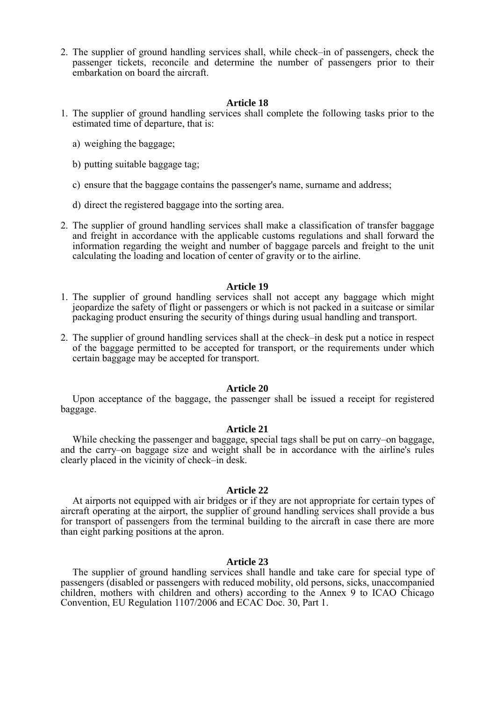2. The supplier of ground handling services shall, while check–in of passengers, check the passenger tickets, reconcile and determine the number of passengers prior to their embarkation on board the aircraft.

#### **Article 18**

- 1. The supplier of ground handling services shall complete the following tasks prior to the estimated time of departure, that is:
	- a) weighing the baggage;
	- b) putting suitable baggage tag;
	- c) ensure that the baggage contains the passenger's name, surname and address;
	- d) direct the registered baggage into the sorting area.
- 2. The supplier of ground handling services shall make a classification of transfer baggage and freight in accordance with the applicable customs regulations and shall forward the information regarding the weight and number of baggage parcels and freight to the unit calculating the loading and location of center of gravity or to the airline.

#### **Article 19**

- 1. The supplier of ground handling services shall not accept any baggage which might jeopardize the safety of flight or passengers or which is not packed in a suitcase or similar packaging product ensuring the security of things during usual handling and transport.
- 2. The supplier of ground handling services shall at the check–in desk put a notice in respect of the baggage permitted to be accepted for transport, or the requirements under which certain baggage may be accepted for transport.

### **Article 20**

 Upon acceptance of the baggage, the passenger shall be issued a receipt for registered baggage.

#### **Article 21**

 While checking the passenger and baggage, special tags shall be put on carry–on baggage, and the carry–on baggage size and weight shall be in accordance with the airline's rules clearly placed in the vicinity of check–in desk.

#### **Article 22**

 At airports not equipped with air bridges or if they are not appropriate for certain types of aircraft operating at the airport, the supplier of ground handling services shall provide a bus for transport of passengers from the terminal building to the aircraft in case there are more than eight parking positions at the apron.

#### **Article 23**

 The supplier of ground handling services shall handle and take care for special type of passengers (disabled or passengers with reduced mobility, old persons, sicks, unaccompanied children, mothers with children and others) according to the Annex 9 to ICAO Chicago Convention, EU Regulation 1107/2006 and ECAC Doc. 30, Part 1.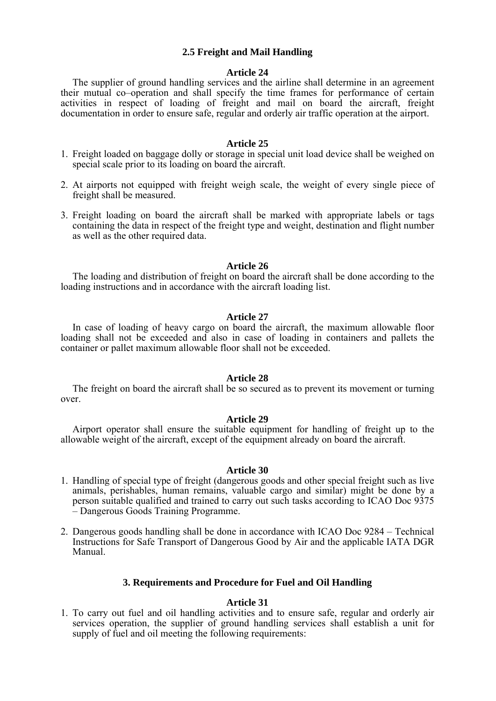# **2.5 Freight and Mail Handling**

### **Article 24**

 The supplier of ground handling services and the airline shall determine in an agreement their mutual co–operation and shall specify the time frames for performance of certain activities in respect of loading of freight and mail on board the aircraft, freight documentation in order to ensure safe, regular and orderly air traffic operation at the airport.

#### **Article 25**

- 1. Freight loaded on baggage dolly or storage in special unit load device shall be weighed on special scale prior to its loading on board the aircraft.
- 2. At airports not equipped with freight weigh scale, the weight of every single piece of freight shall be measured.
- 3. Freight loading on board the aircraft shall be marked with appropriate labels or tags containing the data in respect of the freight type and weight, destination and flight number as well as the other required data.

## **Article 26**

 The loading and distribution of freight on board the aircraft shall be done according to the loading instructions and in accordance with the aircraft loading list.

#### **Article 27**

 In case of loading of heavy cargo on board the aircraft, the maximum allowable floor loading shall not be exceeded and also in case of loading in containers and pallets the container or pallet maximum allowable floor shall not be exceeded.

#### **Article 28**

The freight on board the aircraft shall be so secured as to prevent its movement or turning over.

#### **Article 29**

 Airport operator shall ensure the suitable equipment for handling of freight up to the allowable weight of the aircraft, except of the equipment already on board the aircraft.

#### **Article 30**

- 1. Handling of special type of freight (dangerous goods and other special freight such as live animals, perishables, human remains, valuable cargo and similar) might be done by a person suitable qualified and trained to carry out such tasks according to ICAO Doc 9375 – Dangerous Goods Training Programme.
- 2. Dangerous goods handling shall be done in accordance with ICAO Doc 9284 Technical Instructions for Safe Transport of Dangerous Good by Air and the applicable IATA DGR Manual.

### **3. Requirements and Procedure for Fuel and Oil Handling**

### **Article 31**

1. To carry out fuel and oil handling activities and to ensure safe, regular and orderly air services operation, the supplier of ground handling services shall establish a unit for supply of fuel and oil meeting the following requirements: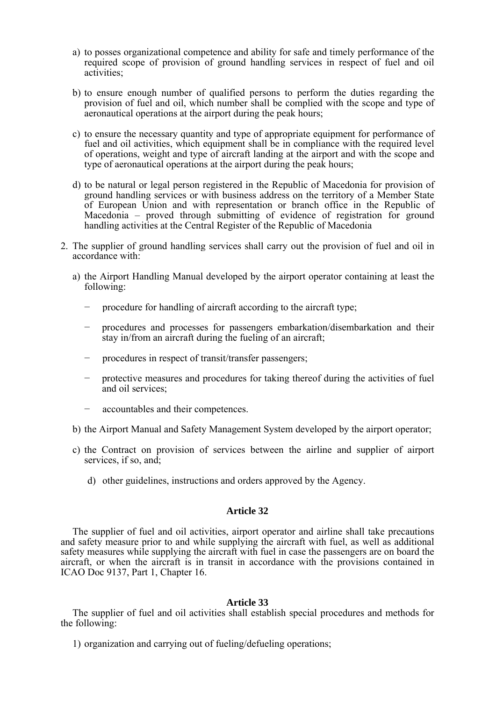- a) to posses organizational competence and ability for safe and timely performance of the required scope of provision of ground handling services in respect of fuel and oil activities;
- b) to ensure enough number of qualified persons to perform the duties regarding the provision of fuel and oil, which number shall be complied with the scope and type of aeronautical operations at the airport during the peak hours;
- c) to ensure the necessary quantity and type of appropriate equipment for performance of fuel and oil activities, which equipment shall be in compliance with the required level of operations, weight and type of aircraft landing at the airport and with the scope and type of aeronautical operations at the airport during the peak hours;
- d) to be natural or legal person registered in the Republic of Macedonia for provision of ground handling services or with business address on the territory of a Member State of European Union and with representation or branch office in the Republic of Macedonia – proved through submitting of evidence of registration for ground handling activities at the Central Register of the Republic of Macedonia
- 2. The supplier of ground handling services shall carry out the provision of fuel and oil in accordance with:
	- a) the Airport Handling Manual developed by the airport operator containing at least the following:
		- procedure for handling of aircraft according to the aircraft type;
		- − procedures and processes for passengers embarkation/disembarkation and their stay in/from an aircraft during the fueling of an aircraft;
		- procedures in respect of transit/transfer passengers;
		- protective measures and procedures for taking thereof during the activities of fuel and oil services;
		- accountables and their competences.
	- b) the Airport Manual and Safety Management System developed by the airport operator;
	- c) the Contract on provision of services between the airline and supplier of airport services, if so, and;
		- d) other guidelines, instructions and orders approved by the Agency.

## **Article 32**

 The supplier of fuel and oil activities, airport operator and airline shall take precautions and safety measure prior to and while supplying the aircraft with fuel, as well as additional safety measures while supplying the aircraft with fuel in case the passengers are on board the aircraft, or when the aircraft is in transit in accordance with the provisions contained in ICAO Doc 9137, Part 1, Chapter 16.

## **Article 33**

 The supplier of fuel and oil activities shall establish special procedures and methods for the following:

1) organization and carrying out of fueling/defueling operations;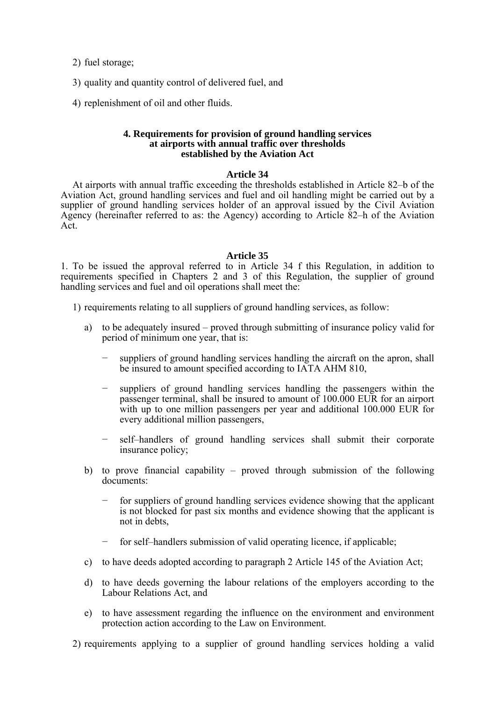2) fuel storage;

- 3) quality and quantity control of delivered fuel, and
- 4) replenishment of oil and other fluids.

## **4. Requirements for provision of ground handling services at airports with annual traffic over thresholds established by the Aviation Act**

## **Article 34**

 At airports with annual traffic exceeding the thresholds established in Article 82–b of the Aviation Act, ground handling services and fuel and oil handling might be carried out by a supplier of ground handling services holder of an approval issued by the Civil Aviation Agency (hereinafter referred to as: the Agency) according to Article 82–h of the Aviation Act.

### **Article 35**

1. To be issued the approval referred to in Article 34 f this Regulation, in addition to requirements specified in Chapters 2 and 3 of this Regulation, the supplier of ground handling services and fuel and oil operations shall meet the:

- 1) requirements relating to all suppliers of ground handling services, as follow:
	- a) to be adequately insured proved through submitting of insurance policy valid for period of minimum one year, that is:
		- suppliers of ground handling services handling the aircraft on the apron, shall be insured to amount specified according to IATA AHM 810,
		- suppliers of ground handling services handling the passengers within the passenger terminal, shall be insured to amount of 100.000 EUR for an airport with up to one million passengers per year and additional 100.000 EUR for every additional million passengers,
		- self–handlers of ground handling services shall submit their corporate insurance policy;
	- b) to prove financial capability proved through submission of the following documents:
		- for suppliers of ground handling services evidence showing that the applicant is not blocked for past six months and evidence showing that the applicant is not in debts,
		- for self–handlers submission of valid operating licence, if applicable;
	- c) to have deeds adopted according to paragraph 2 Article 145 of the Aviation Act;
	- d) to have deeds governing the labour relations of the employers according to the Labour Relations Act, and
	- e) to have assessment regarding the influence on the environment and environment protection action according to the Law on Environment.
- 2) requirements applying to a supplier of ground handling services holding a valid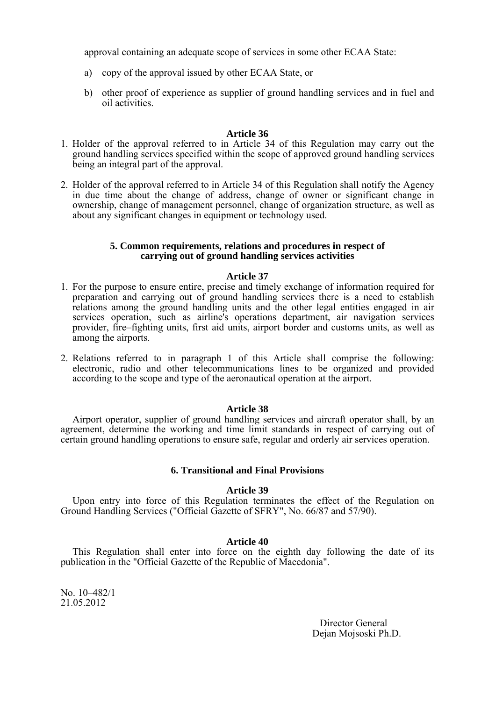approval containing an adequate scope of services in some other ECAA State:

- a) copy of the approval issued by other ECAA State, or
- b) other proof of experience as supplier of ground handling services and in fuel and oil activities.

## **Article 36**

- 1. Holder of the approval referred to in Article 34 of this Regulation may carry out the ground handling services specified within the scope of approved ground handling services being an integral part of the approval.
- 2. Holder of the approval referred to in Article 34 of this Regulation shall notify the Agency in due time about the change of address, change of owner or significant change in ownership, change of management personnel, change of organization structure, as well as about any significant changes in equipment or technology used.

### **5. Common requirements, relations and procedures in respect of carrying out of ground handling services activities**

### **Article 37**

- 1. For the purpose to ensure entire, precise and timely exchange of information required for preparation and carrying out of ground handling services there is a need to establish relations among the ground handling units and the other legal entities engaged in air services operation, such as airline's operations department, air navigation services provider, fire–fighting units, first aid units, airport border and customs units, as well as among the airports.
- 2. Relations referred to in paragraph 1 of this Article shall comprise the following: electronic, radio and other telecommunications lines to be organized and provided according to the scope and type of the aeronautical operation at the airport.

## **Article 38**

 Airport operator, supplier of ground handling services and aircraft operator shall, by an agreement, determine the working and time limit standards in respect of carrying out of certain ground handling operations to ensure safe, regular and orderly air services operation.

## **6. Transitional and Final Provisions**

## **Article 39**

 Upon entry into force of this Regulation terminates the effect of the Regulation on Ground Handling Services ("Official Gazette of SFRY", No. 66/87 and 57/90).

## **Article 40**

 This Regulation shall enter into force on the eighth day following the date of its publication in the "Official Gazette of the Republic of Macedonia".

No. 10–482/1 21.05.2012

> Director General Dejan Mojsoski Ph.D.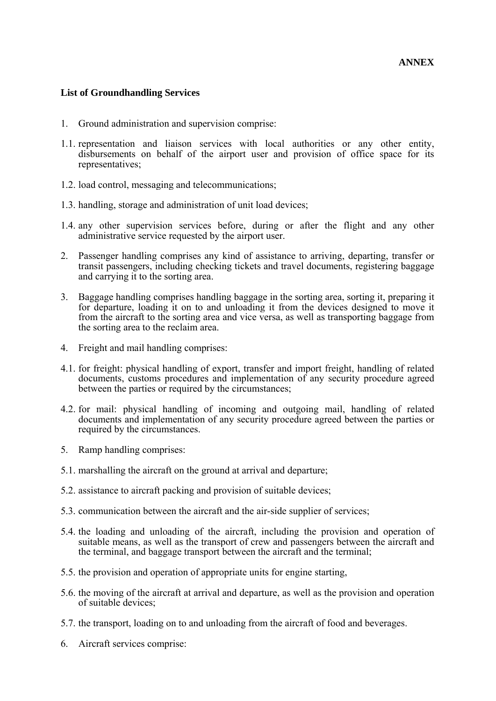# **List of Groundhandling Services**

- 1. Ground administration and supervision comprise:
- 1.1. representation and liaison services with local authorities or any other entity, disbursements on behalf of the airport user and provision of office space for its representatives;
- 1.2. load control, messaging and telecommunications;
- 1.3. handling, storage and administration of unit load devices;
- 1.4. any other supervision services before, during or after the flight and any other administrative service requested by the airport user.
- 2. Passenger handling comprises any kind of assistance to arriving, departing, transfer or transit passengers, including checking tickets and travel documents, registering baggage and carrying it to the sorting area.
- 3. Baggage handling comprises handling baggage in the sorting area, sorting it, preparing it for departure, loading it on to and unloading it from the devices designed to move it from the aircraft to the sorting area and vice versa, as well as transporting baggage from the sorting area to the reclaim area.
- 4. Freight and mail handling comprises:
- 4.1. for freight: physical handling of export, transfer and import freight, handling of related documents, customs procedures and implementation of any security procedure agreed between the parties or required by the circumstances;
- 4.2. for mail: physical handling of incoming and outgoing mail, handling of related documents and implementation of any security procedure agreed between the parties or required by the circumstances.
- 5. Ramp handling comprises:
- 5.1. marshalling the aircraft on the ground at arrival and departure;
- 5.2. assistance to aircraft packing and provision of suitable devices;
- 5.3. communication between the aircraft and the air-side supplier of services;
- 5.4. the loading and unloading of the aircraft, including the provision and operation of suitable means, as well as the transport of crew and passengers between the aircraft and the terminal, and baggage transport between the aircraft and the terminal;
- 5.5. the provision and operation of appropriate units for engine starting,
- 5.6. the moving of the aircraft at arrival and departure, as well as the provision and operation of suitable devices;
- 5.7. the transport, loading on to and unloading from the aircraft of food and beverages.
- 6. Aircraft services comprise: